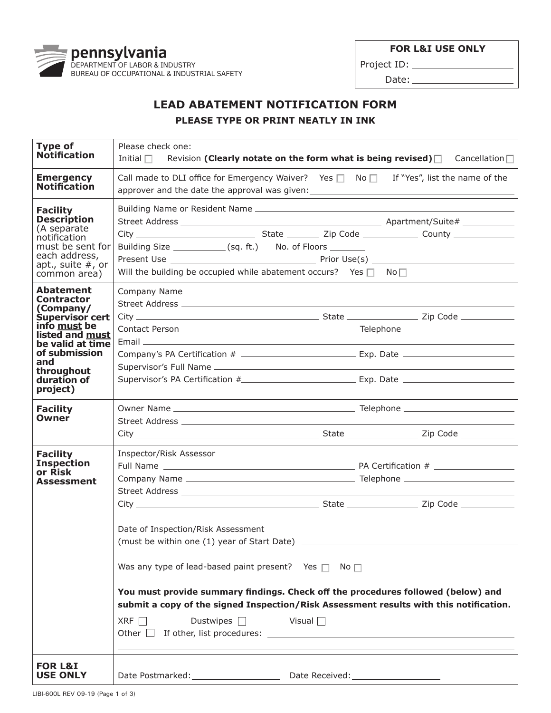**FOR L&I USE ONLY** 



Project ID: Date:

## **LEAD ABATEMENT NOTIFICATION FORM**

**PLEASE TYPE OR PRINT NEATLY IN INK**

| <b>Type of</b><br><b>Notification</b>                                                                                                                                                                | Please check one:<br>Initial $\Box$<br>Revision (Clearly notate on the form what is being revised) $\Box$ Cancellation $\Box$                                                                                                                                                                                                                                                                                                                                                                                                                                                                                                           |  |  |  |
|------------------------------------------------------------------------------------------------------------------------------------------------------------------------------------------------------|-----------------------------------------------------------------------------------------------------------------------------------------------------------------------------------------------------------------------------------------------------------------------------------------------------------------------------------------------------------------------------------------------------------------------------------------------------------------------------------------------------------------------------------------------------------------------------------------------------------------------------------------|--|--|--|
| <b>Emergency</b><br><b>Notification</b>                                                                                                                                                              | Call made to DLI office for Emergency Waiver? Yes $\Box$ No $\Box$ If "Yes", list the name of the<br>approver and the date the approval was given: __________________________________                                                                                                                                                                                                                                                                                                                                                                                                                                                   |  |  |  |
| <b>Facility</b><br><b>Description</b><br>(A separate<br>notification<br>must be sent for<br>each address,<br>apt., suite $#$ , or<br>common area)                                                    | Building Size _____________(sq. ft.) No. of Floors ________<br>Will the building be occupied while abatement occurs? Yes $\Box$ No $\Box$                                                                                                                                                                                                                                                                                                                                                                                                                                                                                               |  |  |  |
| <b>Abatement</b><br><b>Contractor</b><br>(Company/<br><b>Supervisor cert</b><br>info must be<br>listed and must<br>be valid at time<br>of submission<br>and<br>throughout<br>duration of<br>project) | Supervisor's PA Certification #______________________________Exp. Date _____________________________                                                                                                                                                                                                                                                                                                                                                                                                                                                                                                                                    |  |  |  |
| <b>Facility</b><br>Owner                                                                                                                                                                             |                                                                                                                                                                                                                                                                                                                                                                                                                                                                                                                                                                                                                                         |  |  |  |
| <b>Facility</b><br><b>Inspection</b><br>or Risk<br><b>Assessment</b>                                                                                                                                 | Inspector/Risk Assessor<br>City Zip Code 2014 2015 2016 2017 2020 21 May 21 May 21 May 21 May 21 May 21 May 21 May 21 May 21 May 21 May 21 May 21 May 21 May 21 May 21 May 21 May 21 May 21 May 21 May 21 May 21 May 21 May 21 May 21 May 21 May 21 May 2<br>Date of Inspection/Risk Assessment<br>(must be within one (1) year of Start Date)<br>Was any type of lead-based paint present? Yes $\Box$ No $\Box$<br>You must provide summary findings. Check off the procedures followed (below) and<br>submit a copy of the signed Inspection/Risk Assessment results with this notification.<br>Dustwipes $\Box$ Visual $\Box$<br>XRF |  |  |  |
| <b>FOR L&amp;I</b><br><b>USE ONLY</b>                                                                                                                                                                |                                                                                                                                                                                                                                                                                                                                                                                                                                                                                                                                                                                                                                         |  |  |  |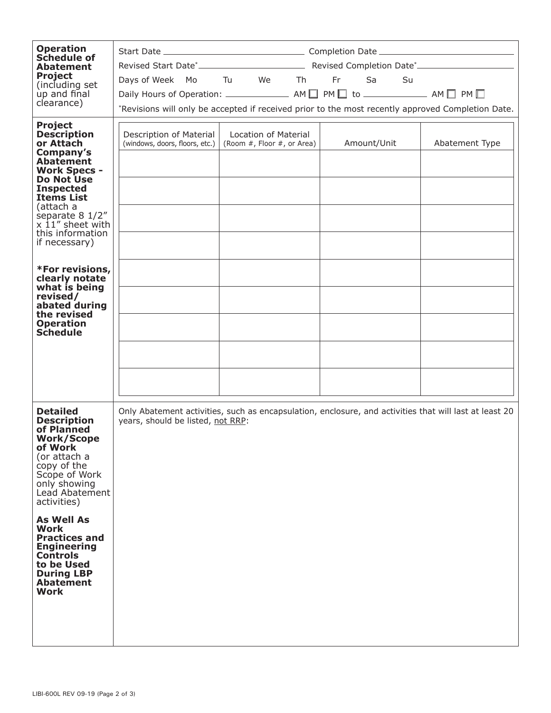| <b>Operation</b><br>Schedule of                                                                                                                                                                                                                                    |                                                                                                                                                  |  |  |  |  |  |
|--------------------------------------------------------------------------------------------------------------------------------------------------------------------------------------------------------------------------------------------------------------------|--------------------------------------------------------------------------------------------------------------------------------------------------|--|--|--|--|--|
| <b>Abatement</b><br><b>Project</b>                                                                                                                                                                                                                                 | Days of Week Mo Tu We Th Fr Sa Su                                                                                                                |  |  |  |  |  |
| (including set<br>up and final                                                                                                                                                                                                                                     |                                                                                                                                                  |  |  |  |  |  |
| clearance)                                                                                                                                                                                                                                                         | *Revisions will only be accepted if received prior to the most recently approved Completion Date.                                                |  |  |  |  |  |
| <b>Project</b><br><b>Description</b><br>or Attach<br>Company's<br><b>Abatement</b><br><b>Work Specs -</b><br><b>Do Not Use</b><br><b>Inspected</b><br><b>Items List</b><br>(attach a<br>separate 8 1/2"<br>$x$ 11" sheet with<br>this information<br>if necessary) | Description of Material<br>Location of Material<br>(windows, doors, floors, etc.)<br>(Room #, Floor #, or Area)<br>Amount/Unit<br>Abatement Type |  |  |  |  |  |
| *For revisions,<br>clearly notate<br>what is being<br>revised/<br>abated during<br>the revised<br><b>Operation</b><br><b>Schedule</b>                                                                                                                              |                                                                                                                                                  |  |  |  |  |  |
| <b>Detailed</b><br><b>Description</b><br>of Planned<br><b>Work/Scope</b><br>of Work<br>(or attach a<br>copy of the<br>Scope of Work<br>only showing<br>Lead Abatement<br>activities)                                                                               | Only Abatement activities, such as encapsulation, enclosure, and activities that will last at least 20<br>years, should be listed, not RRP:      |  |  |  |  |  |
| <b>As Well As</b><br>Work<br><b>Practices and</b><br><b>Engineering</b><br><b>Controls</b><br>to be Used<br><b>During LBP</b><br><b>Abatement</b><br>Work                                                                                                          |                                                                                                                                                  |  |  |  |  |  |